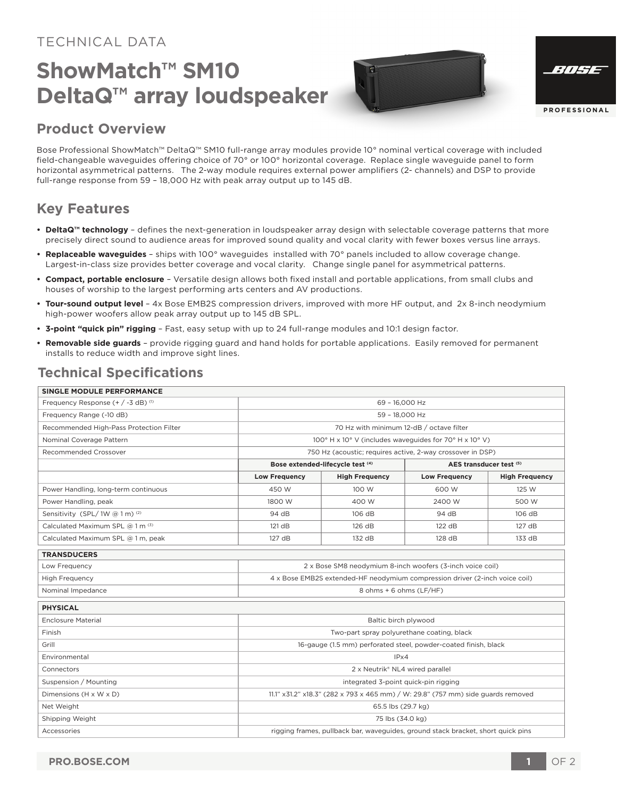#### TECHNICAL DATA

## **ShowMatch™ SM10 DeltaQ™ array loudspeaker**



| ://H73              |
|---------------------|
|                     |
|                     |
| <b>PROFESSIONAL</b> |

#### **Product Overview**

Bose Professional ShowMatch™ DeltaQ™ SM10 full-range array modules provide 10° nominal vertical coverage with included field-changeable waveguides offering choice of 70° or 100° horizontal coverage. Replace single waveguide panel to form horizontal asymmetrical patterns. The 2-way module requires external power amplifiers (2- channels) and DSP to provide full-range response from 59 – 18,000 Hz with peak array output up to 145 dB.

#### **Key Features**

- **DeltaQ™ technology** defines the next-generation in loudspeaker array design with selectable coverage patterns that more precisely direct sound to audience areas for improved sound quality and vocal clarity with fewer boxes versus line arrays.
- **Replaceable waveguides** ships with 100° waveguides installed with 70° panels included to allow coverage change. Largest-in-class size provides better coverage and vocal clarity. Change single panel for asymmetrical patterns.
- **Compact, portable enclosure** Versatile design allows both fixed install and portable applications, from small clubs and houses of worship to the largest performing arts centers and AV productions.
- **Tour-sound output level** 4x Bose EMB2S compression drivers, improved with more HF output, and 2x 8-inch neodymium high-power woofers allow peak array output up to 145 dB SPL.
- **3-point "quick pin" rigging** Fast, easy setup with up to 24 full-range modules and 10:1 design factor.
- **Removable side guards**  provide rigging guard and hand holds for portable applications. Easily removed for permanent installs to reduce width and improve sight lines.

#### **Technical Specifications**

| SINGLE MODULE PERFORMANCE               |                                                                                  |                       |                         |                       |
|-----------------------------------------|----------------------------------------------------------------------------------|-----------------------|-------------------------|-----------------------|
| Frequency Response (+ / -3 dB) (1)      | 69 - 16.000 Hz                                                                   |                       |                         |                       |
| Frequency Range (-10 dB)                | 59 - 18,000 Hz                                                                   |                       |                         |                       |
| Recommended High-Pass Protection Filter | 70 Hz with minimum 12-dB / octave filter                                         |                       |                         |                       |
| Nominal Coverage Pattern                | 100° H x 10° V (includes waveguides for 70° H x 10° V)                           |                       |                         |                       |
| Recommended Crossover                   | 750 Hz (acoustic; requires active, 2-way crossover in DSP)                       |                       |                         |                       |
|                                         | Bose extended-lifecycle test (4)                                                 |                       | AES transducer test (5) |                       |
|                                         | <b>Low Frequency</b>                                                             | <b>High Frequency</b> | <b>Low Frequency</b>    | <b>High Frequency</b> |
| Power Handling, long-term continuous    | 450 W                                                                            | 100 W                 | 600 W                   | 125 W                 |
| Power Handling, peak                    | 1800 W                                                                           | 400 W                 | 2400 W                  | 500 W                 |
| Sensitivity (SPL/1W @ 1 m) (2)          | 94 dB                                                                            | 106 dB                | 94 dB                   | 106 dB                |
| Calculated Maximum SPL @ 1 m (3)        | 121 dB                                                                           | 126 dB                | 122 dB                  | 127 dB                |
| Calculated Maximum SPL @ 1 m, peak      | 127 dB                                                                           | 132 dB                | 128 dB                  | 133 dB                |
| <b>TRANSDUCERS</b>                      |                                                                                  |                       |                         |                       |
| Low Frequency                           | 2 x Bose SM8 neodymium 8-inch woofers (3-inch voice coil)                        |                       |                         |                       |
| <b>High Frequency</b>                   | 4 x Bose EMB2S extended-HF neodymium compression driver (2-inch voice coil)      |                       |                         |                       |
| Nominal Impedance                       | 8 ohms + 6 ohms (LF/HF)                                                          |                       |                         |                       |
| <b>PHYSICAL</b>                         |                                                                                  |                       |                         |                       |
| <b>Enclosure Material</b>               | Baltic birch plywood                                                             |                       |                         |                       |
| Finish                                  | Two-part spray polyurethane coating, black                                       |                       |                         |                       |
| Grill                                   | 16-gauge (1.5 mm) perforated steel, powder-coated finish, black                  |                       |                         |                       |
| Environmental                           | IPx4                                                                             |                       |                         |                       |
| Connectors                              | 2 x Neutrik® NL4 wired parallel                                                  |                       |                         |                       |
| Suspension / Mounting                   | integrated 3-point quick-pin rigging                                             |                       |                         |                       |
| Dimensions (H x W x D)                  | 11.1" x31.2" x18.3" (282 x 793 x 465 mm) / W: 29.8" (757 mm) side guards removed |                       |                         |                       |
| Net Weight                              | 65.5 lbs (29.7 kg)                                                               |                       |                         |                       |
| Shipping Weight                         | 75 lbs (34.0 kg)                                                                 |                       |                         |                       |
| Accessories                             | rigging frames, pullback bar, waveguides, ground stack bracket, short quick pins |                       |                         |                       |